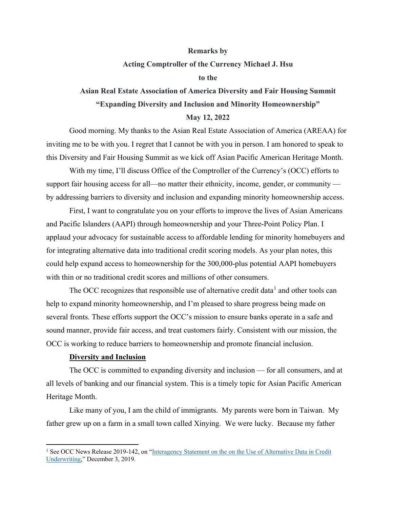#### **Remarks by**

#### **Acting Comptroller of the Currency Michael J. Hsu**

#### **to the**

# **Asian Real Estate Association of America Diversity and Fair Housing Summit "Expanding Diversity and Inclusion and Minority Homeownership"**

# **May 12, 2022**

Good morning. My thanks to the Asian Real Estate Association of America (AREAA) for inviting me to be with you. I regret that I cannot be with you in person. I am honored to speak to this Diversity and Fair Housing Summit as we kick off Asian Pacific American Heritage Month.

With my time, I'll discuss Office of the Comptroller of the Currency's (OCC) efforts to support fair housing access for all—no matter their ethnicity, income, gender, or community by addressing barriers to diversity and inclusion and expanding minority homeownership access.

First, I want to congratulate you on your efforts to improve the lives of Asian Americans and Pacific Islanders (AAPI) through homeownership and your Three-Point Policy Plan. I applaud your advocacy for sustainable access to affordable lending for minority homebuyers and for integrating alternative data into traditional credit scoring models. As your plan notes, this could help expand access to homeownership for the 300,000-plus potential AAPI homebuyers with thin or no traditional credit scores and millions of other consumers.

The OCC recognizes that responsible use of alternative credit data<sup>[1](#page-0-0)</sup> and other tools can help to expand minority homeownership, and I'm pleased to share progress being made on several fronts. These efforts support the OCC's mission to ensure banks operate in a safe and sound manner, provide fair access, and treat customers fairly. Consistent with our mission, the OCC is working to reduce barriers to homeownership and promote financial inclusion.

# **Diversity and Inclusion**

The OCC is committed to expanding diversity and inclusion — for all consumers, and at all levels of banking and our financial system. This is a timely topic for Asian Pacific American Heritage Month.

Like many of you, I am the child of immigrants. My parents were born in Taiwan. My father grew up on a farm in a small town called Xinying. We were lucky. Because my father

<span id="page-0-0"></span><sup>&</sup>lt;sup>1</sup> See OCC News Release 2019-142, on "Interagency Statement on the on the Use of Alternative Data in Credit [Underwriting,](https://el.occ/news-issuances/news-releases/2019/nr-ia-2019-142.html)" December 3, 2019.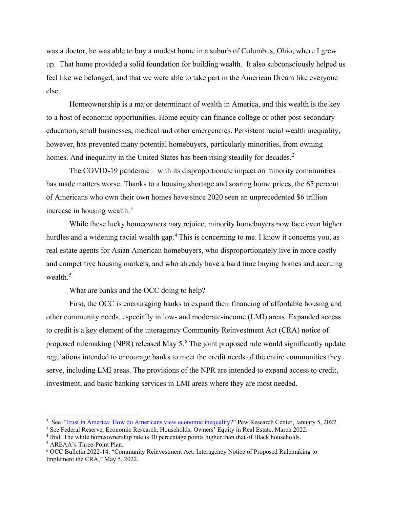was a doctor, he was able to buy a modest home in a suburb of Columbus, Ohio, where I grew up. That home provided a solid foundation for building wealth. It also subconsciously helped us feel like we belonged, and that we were able to take part in the American Dream like everyone else.

Homeownership is a major determinant of wealth in America, and this wealth is the key to a host of economic opportunities. Home equity can finance college or other post-secondary education, small businesses, medical and other emergencies. Persistent racial wealth inequality, however, has prevented many potential homebuyers, particularly minorities, from owning homes. And inequality in the United States has been rising steadily for decades.<sup>[2](#page-1-0)</sup>

The COVID-19 pandemic – with its disproportionate impact on minority communities – has made matters worse. Thanks to a housing shortage and soaring home prices, the 65 percent of Americans who own their own homes have since 2020 seen an unprecedented \$6 trillion increase in housing wealth. $3$ 

While these lucky homeowners may rejoice, minority homebuyers now face even higher hurdles and a widening racial wealth gap.<sup>[4](#page-1-2)</sup> This is concerning to me. I know it concerns you, as real estate agents for Asian American homebuyers, who disproportionately live in more costly and competitive housing markets, and who already have a hard time buying homes and accruing wealth. $5$ 

What are banks and the OCC doing to help?

First, the OCC is encouraging banks to expand their financing of affordable housing and other community needs, especially in low- and moderate-income (LMI) areas. Expanded access to credit is a key element of the interagency Community Reinvestment Act (CRA) notice of proposed rulemaking (NPR) released May 5.<sup>[6](#page-1-4)</sup> The joint proposed rule would significantly update regulations intended to encourage banks to meet the credit needs of the entire communities they serve, including LMI areas. The provisions of the NPR are intended to expand access to credit, investment, and basic banking services in LMI areas where they are most needed.

<span id="page-1-0"></span><sup>&</sup>lt;sup>2</sup> See "Trust in America: How do Americans view economic inequality?" Pew Research Center, January 5, 2022.

<span id="page-1-1"></span><sup>&</sup>lt;sup>3</sup> See Federal Reserve, Economic Research, Households; Owners' Equity in Real Estate, March 2022.

<span id="page-1-2"></span><sup>4</sup> Ibid. The white homeownership rate is 30 percentage points higher than that of Black households.

<span id="page-1-3"></span><sup>5</sup> AREAA's Three-Point Plan.

<span id="page-1-4"></span><sup>6</sup> OCC Bulletin 2022-14, "Community Reinvestment Act: Interagency Notice of Proposed Rulemaking to Implement the CRA," May 5, 2022.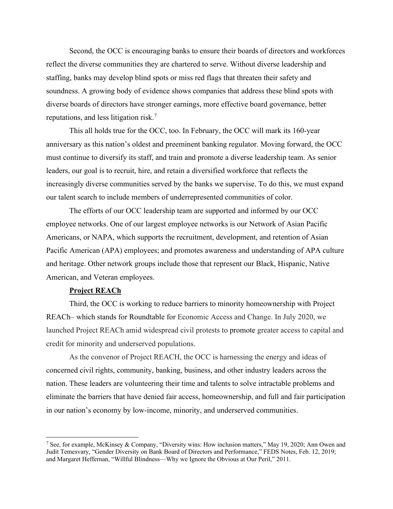Second, the OCC is encouraging banks to ensure their boards of directors and workforces reflect the diverse communities they are chartered to serve. Without diverse leadership and staffing, banks may develop blind spots or miss red flags that threaten their safety and soundness. A growing body of evidence shows companies that address these blind spots with diverse boards of directors have stronger earnings, more effective board governance, better reputations, and less litigation risk.[7](#page-2-0)

This all holds true for the OCC, too. In February, the OCC will mark its 160-year anniversary as this nation's oldest and preeminent banking regulator. Moving forward, the OCC must continue to diversify its staff, and train and promote a diverse leadership team. As senior leaders, our goal is to recruit, hire, and retain a diversified workforce that reflects the increasingly diverse communities served by the banks we supervise. To do this, we must expand our talent search to include members of underrepresented communities of color.

The efforts of our OCC leadership team are supported and informed by our OCC employee networks. One of our largest employee networks is our Network of Asian Pacific Americans, or NAPA, which supports the recruitment, development, and retention of Asian Pacific American (APA) employees; and promotes awareness and understanding of APA culture and heritage. Other network groups include those that represent our Black, Hispanic, Native American, and Veteran employees.

# **Project REACh**

Third, the OCC is working to reduce barriers to minority homeownership with Project REACh– which stands for Roundtable for Economic Access and Change. In July 2020, we launched Project REACh amid widespread civil protests to promote greater access to capital and credit for minority and underserved populations.

As the convenor of Project REACH, the OCC is harnessing the energy and ideas of concerned civil rights, community, banking, business, and other industry leaders across the nation. These leaders are volunteering their time and talents to solve intractable problems and eliminate the barriers that have denied fair access, homeownership, and full and fair participation in our nation's economy by low-income, minority, and underserved communities.

<span id="page-2-0"></span><sup>7</sup> See, for example, McKinsey & Company, "Diversity wins: How inclusion matters," May 19, 2020; Ann Owen and Judit Temesvary, "Gender Diversity on Bank Board of Directors and Performance," FEDS Notes, Feb. 12, 2019; and Margaret Heffernan, "Willful Blindness—Why we Ignore the Obvious at Our Peril," 2011.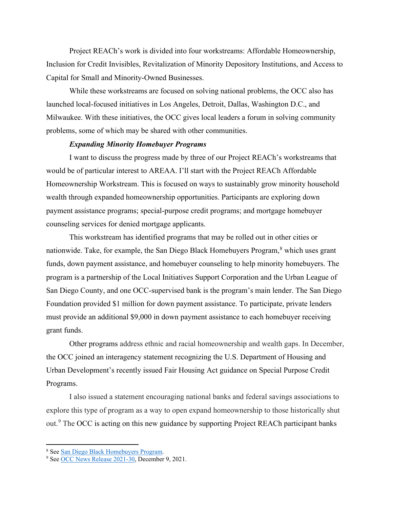Project REACh's work is divided into four workstreams: Affordable Homeownership, Inclusion for Credit Invisibles, Revitalization of Minority Depository Institutions, and Access to Capital for Small and Minority-Owned Businesses.

While these workstreams are focused on solving national problems, the OCC also has launched local-focused initiatives in Los Angeles, Detroit, Dallas, Washington D.C., and Milwaukee. With these initiatives, the OCC gives local leaders a forum in solving community problems, some of which may be shared with other communities.

#### *Expanding Minority Homebuyer Programs*

I want to discuss the progress made by three of our Project REACh's workstreams that would be of particular interest to AREAA. I'll start with the Project REACh Affordable Homeownership Workstream. This is focused on ways to sustainably grow minority household wealth through expanded homeownership opportunities. Participants are exploring down payment assistance programs; special-purpose credit programs; and mortgage homebuyer counseling services for denied mortgage applicants.

This workstream has identified programs that may be rolled out in other cities or nationwide. Take, for example, the San Diego Black Homebuyers Program,<sup>[8](#page-3-0)</sup> which uses grant funds, down payment assistance, and homebuyer counseling to help minority homebuyers. The program is a partnership of the Local Initiatives Support Corporation and the Urban League of San Diego County, and one OCC-supervised bank is the program's main lender. The San Diego Foundation provided \$1 million for down payment assistance. To participate, private lenders must provide an additional \$9,000 in down payment assistance to each homebuyer receiving grant funds.

Other programs address ethnic and racial homeownership and wealth gaps. In December, the OCC joined an interagency statement recognizing the U.S. Department of Housing and Urban Development's recently issued Fair Housing Act guidance on Special Purpose Credit Programs.

I also issued a statement encouraging national banks and federal savings associations to explore this type of program as a way to open expand homeownership to those historically shut out.<sup>[9](#page-3-1)</sup> The OCC is acting on this new guidance by supporting Project REACh participant banks

<span id="page-3-0"></span><sup>&</sup>lt;sup>8</sup> Se[e San Diego Black Homebuyers Program.](https://www.lisc.org/san-diego/homebuyers/)

<span id="page-3-1"></span><sup>9</sup> Se[e OCC News Release 2021-30,](https://www.occ.gov/news-issuances/news-releases/2021/nr-occ-2021-130.html) December 9, 2021.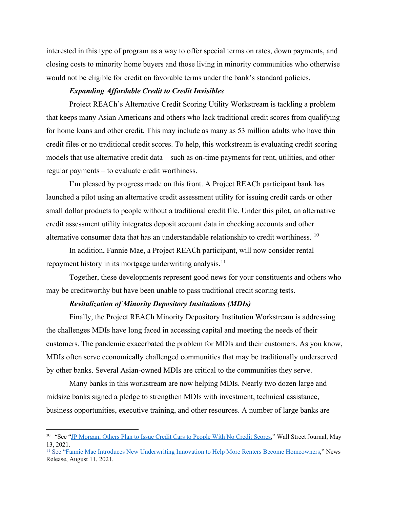interested in this type of program as a way to offer special terms on rates, down payments, and closing costs to minority home buyers and those living in minority communities who otherwise would not be eligible for credit on favorable terms under the bank's standard policies.

#### *Expanding Affordable Credit to Credit Invisibles*

Project REACh's Alternative Credit Scoring Utility Workstream is tackling a problem that keeps many Asian Americans and others who lack traditional credit scores from qualifying for home loans and other credit. This may include as many as 53 million adults who have thin credit files or no traditional credit scores. To help, this workstream is evaluating credit scoring models that use alternative credit data – such as on-time payments for rent, utilities, and other regular payments – to evaluate credit worthiness.

I'm pleased by progress made on this front. A Project REACh participant bank has launched a pilot using an alternative credit assessment utility for issuing credit cards or other small dollar products to people without a traditional credit file. Under this pilot, an alternative credit assessment utility integrates deposit account data in checking accounts and other alternative consumer data that has an understandable relationship to credit worthiness. [10](#page-4-0)

In addition, Fannie Mae, a Project REACh participant, will now consider rental repayment history in its mortgage underwriting analysis.<sup>[11](#page-4-1)</sup>

Together, these developments represent good news for your constituents and others who may be creditworthy but have been unable to pass traditional credit scoring tests.

#### *Revitalization of Minority Depository Institutions (MDIs)*

Finally, the Project REACh Minority Depository Institution Workstream is addressing the challenges MDIs have long faced in accessing capital and meeting the needs of their customers. The pandemic exacerbated the problem for MDIs and their customers. As you know, MDIs often serve economically challenged communities that may be traditionally underserved by other banks. Several Asian-owned MDIs are critical to the communities they serve.

Many banks in this workstream are now helping MDIs. Nearly two dozen large and midsize banks signed a pledge to strengthen MDIs with investment, technical assistance, business opportunities, executive training, and other resources. A number of large banks are

<span id="page-4-0"></span><sup>&</sup>lt;sup>10</sup> "See ["JP Morgan, Others Plan to Issue Credit Cars to People With No Credit Scores,](https://www.wsj.com/articles/jpmorgan-others-plan-to-issue-credit-cards-to-people-with-no-credit-scores-11620898206)" Wall Street Journal, May 13, 2021.

<span id="page-4-1"></span><sup>&</sup>lt;sup>11</sup> See ["Fannie Mae Introduces New Underwriting Innovation to Help More Renters Become Homeowners,](https://www.fanniemae.com/newsroom/fannie-mae-news/fannie-mae-introduces-new-underwriting-innovation-help-more-renters-become-homeowners)" News Release, August 11, 2021.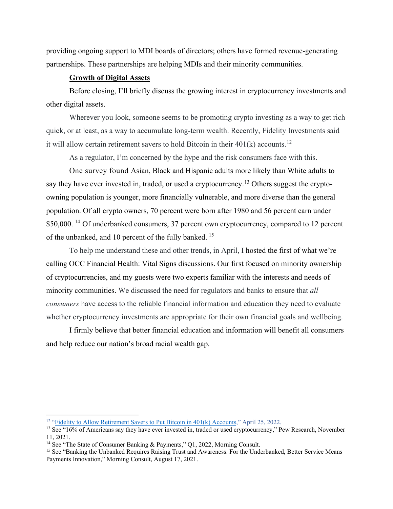providing ongoing support to MDI boards of directors; others have formed revenue-generating partnerships. These partnerships are helping MDIs and their minority communities.

# **Growth of Digital Assets**

Before closing, I'll briefly discuss the growing interest in cryptocurrency investments and other digital assets.

Wherever you look, someone seems to be promoting crypto investing as a way to get rich quick, or at least, as a way to accumulate long-term wealth. Recently, Fidelity Investments said it will allow certain retirement savers to hold Bitcoin in their  $401(k)$  accounts.<sup>[12](#page-5-0)</sup>

As a regulator, I'm concerned by the hype and the risk consumers face with this.

One survey found Asian, Black and Hispanic adults more likely than White adults to say they have ever invested in, traded, or used a cryptocurrency.<sup>[13](#page-5-1)</sup> Others suggest the cryptoowning population is younger, more financially vulnerable, and more diverse than the general population. Of all crypto owners, 70 percent were born after 1980 and 56 percent earn under \$50,000.<sup>[14](#page-5-2)</sup> Of underbanked consumers, 37 percent own cryptocurrency, compared to 12 percent of the unbanked, and 10 percent of the fully banked. [15](#page-5-3)

To help me understand these and other trends, in April, I hosted the first of what we're calling OCC Financial Health: Vital Signs discussions. Our first focused on minority ownership of cryptocurrencies, and my guests were two experts familiar with the interests and needs of minority communities. We discussed the need for regulators and banks to ensure that *all consumers* have access to the reliable financial information and education they need to evaluate whether cryptocurrency investments are appropriate for their own financial goals and wellbeing.

I firmly believe that better financial education and information will benefit all consumers and help reduce our nation's broad racial wealth gap.

<span id="page-5-0"></span><sup>&</sup>lt;sup>12</sup> ["Fidelity to Allow Retirement Savers to Put Bitcoin in 401\(k\) Accounts,](https://www.wsj.com/articles/fidelity-to-allow-retirement-savers-to-put-bitcoin-in-401-k-accounts-11650945661?mod=hp_lead_pos3)" April 25, 2022.

<span id="page-5-1"></span><sup>&</sup>lt;sup>13</sup> See "16% of Americans say they have ever invested in, traded or used cryptocurrency," Pew Research, November 11, 2021.

<span id="page-5-2"></span><sup>&</sup>lt;sup>14</sup> See "The State of Consumer Banking & Payments," Q1, 2022, Morning Consult.

<span id="page-5-3"></span><sup>&</sup>lt;sup>15</sup> See "Banking the Unbanked Requires Raising Trust and Awareness. For the Underbanked, Better Service Means Payments Innovation," Morning Consult, August 17, 2021.